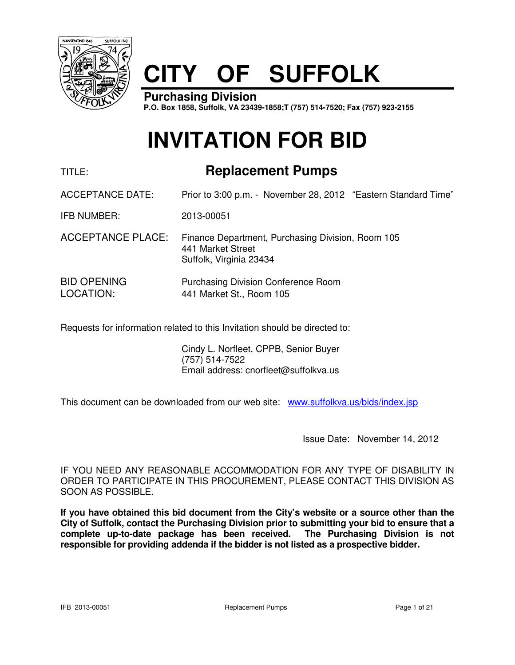

# **CITY OF SUFFOLK**

**Purchasing Division P.O. Box 1858, Suffolk, VA 23439-1858;T (757) 514-7520; Fax (757) 923-2155**

# **INVITATION FOR BID**

# TITLE: **Replacement Pumps**

ACCEPTANCE DATE: Prior to 3:00 p.m. - November 28, 2012 "Eastern Standard Time"

IFB NUMBER: 2013-00051

- ACCEPTANCE PLACE: Finance Department, Purchasing Division, Room 105 441 Market Street Suffolk, Virginia 23434
- BID OPENING Purchasing Division Conference Room LOCATION: 441 Market St., Room 105

Requests for information related to this Invitation should be directed to:

 Cindy L. Norfleet, CPPB, Senior Buyer (757) 514-7522 Email address: cnorfleet@suffolkva.us

This document can be downloaded from our web site: www.suffolkva.us/bids/index.jsp

Issue Date: November 14, 2012

IF YOU NEED ANY REASONABLE ACCOMMODATION FOR ANY TYPE OF DISABILITY IN ORDER TO PARTICIPATE IN THIS PROCUREMENT, PLEASE CONTACT THIS DIVISION AS SOON AS POSSIBLE.

**If you have obtained this bid document from the City's website or a source other than the City of Suffolk, contact the Purchasing Division prior to submitting your bid to ensure that a complete up-to-date package has been received. The Purchasing Division is not responsible for providing addenda if the bidder is not listed as a prospective bidder.**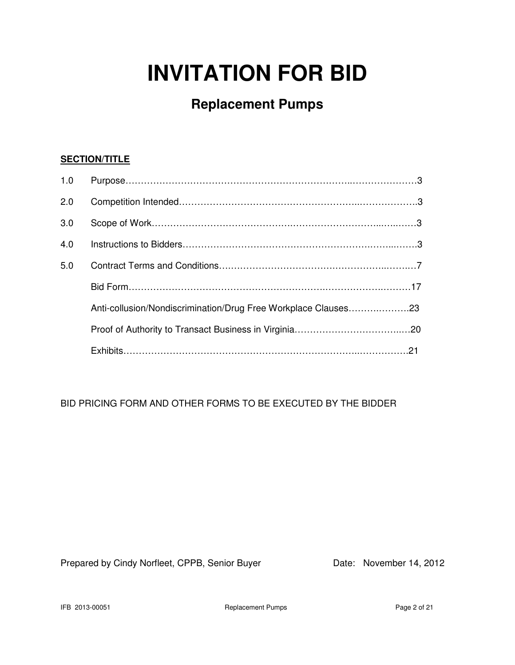# **INVITATION FOR BID**

# **Replacement Pumps**

# **SECTION/TITLE**

| 1.0 |                                                                |  |
|-----|----------------------------------------------------------------|--|
| 2.0 |                                                                |  |
| 3.0 |                                                                |  |
| 4.0 |                                                                |  |
| 5.0 |                                                                |  |
|     |                                                                |  |
|     | Anti-collusion/Nondiscrimination/Drug Free Workplace Clauses23 |  |
|     |                                                                |  |
|     |                                                                |  |

BID PRICING FORM AND OTHER FORMS TO BE EXECUTED BY THE BIDDER

Prepared by Cindy Norfleet, CPPB, Senior Buyer Date: November 14, 2012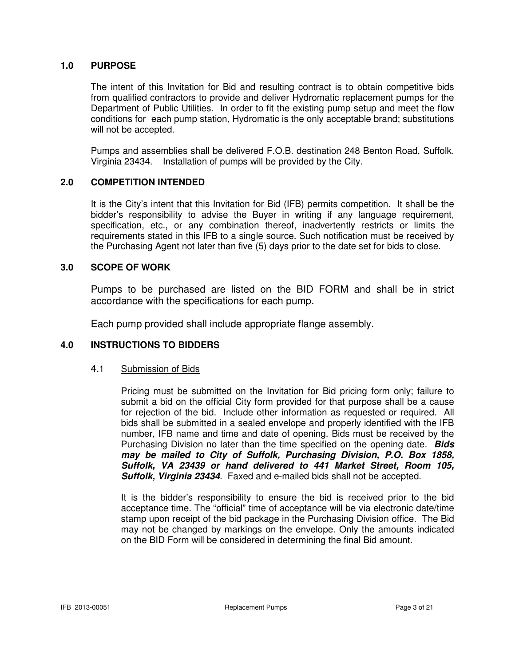#### **1.0 PURPOSE**

 The intent of this Invitation for Bid and resulting contract is to obtain competitive bids from qualified contractors to provide and deliver Hydromatic replacement pumps for the Department of Public Utilities. In order to fit the existing pump setup and meet the flow conditions for each pump station, Hydromatic is the only acceptable brand; substitutions will not be accepted.

 Pumps and assemblies shall be delivered F.O.B. destination 248 Benton Road, Suffolk, Virginia 23434. Installation of pumps will be provided by the City.

#### **2.0 COMPETITION INTENDED**

It is the City's intent that this Invitation for Bid (IFB) permits competition. It shall be the bidder's responsibility to advise the Buyer in writing if any language requirement, specification, etc., or any combination thereof, inadvertently restricts or limits the requirements stated in this IFB to a single source. Such notification must be received by the Purchasing Agent not later than five (5) days prior to the date set for bids to close.

#### **3.0 SCOPE OF WORK**

 Pumps to be purchased are listed on the BID FORM and shall be in strict accordance with the specifications for each pump.

Each pump provided shall include appropriate flange assembly.

#### **4.0 INSTRUCTIONS TO BIDDERS**

#### 4.1 Submission of Bids

Pricing must be submitted on the Invitation for Bid pricing form only; failure to submit a bid on the official City form provided for that purpose shall be a cause for rejection of the bid. Include other information as requested or required. All bids shall be submitted in a sealed envelope and properly identified with the IFB number, IFB name and time and date of opening. Bids must be received by the Purchasing Division no later than the time specified on the opening date. **Bids may be mailed to City of Suffolk, Purchasing Division, P.O. Box 1858, Suffolk, VA 23439 or hand delivered to 441 Market Street, Room 105, Suffolk, Virginia 23434**. Faxed and e-mailed bids shall not be accepted.

It is the bidder's responsibility to ensure the bid is received prior to the bid acceptance time. The "official" time of acceptance will be via electronic date/time stamp upon receipt of the bid package in the Purchasing Division office. The Bid may not be changed by markings on the envelope. Only the amounts indicated on the BID Form will be considered in determining the final Bid amount.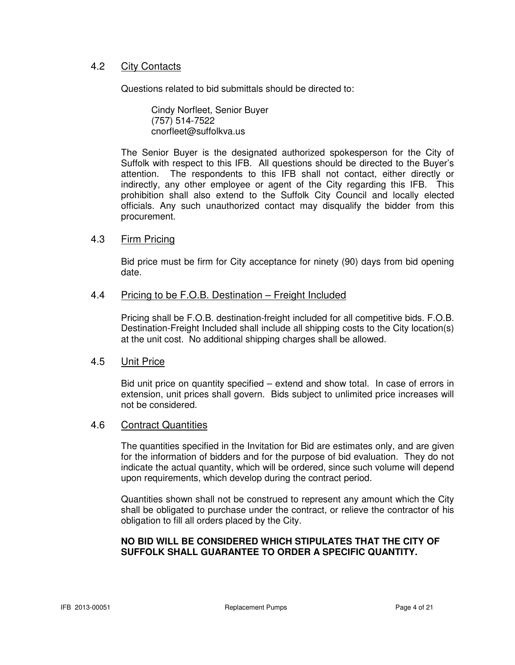# 4.2 City Contacts

Questions related to bid submittals should be directed to:

 Cindy Norfleet, Senior Buyer (757) 514-7522 cnorfleet@suffolkva.us

The Senior Buyer is the designated authorized spokesperson for the City of Suffolk with respect to this IFB. All questions should be directed to the Buyer's attention. The respondents to this IFB shall not contact, either directly or indirectly, any other employee or agent of the City regarding this IFB. This prohibition shall also extend to the Suffolk City Council and locally elected officials. Any such unauthorized contact may disqualify the bidder from this procurement.

#### 4.3 Firm Pricing

Bid price must be firm for City acceptance for ninety (90) days from bid opening date.

#### 4.4 Pricing to be F.O.B. Destination – Freight Included

Pricing shall be F.O.B. destination-freight included for all competitive bids. F.O.B. Destination-Freight Included shall include all shipping costs to the City location(s) at the unit cost. No additional shipping charges shall be allowed.

#### 4.5 Unit Price

Bid unit price on quantity specified – extend and show total. In case of errors in extension, unit prices shall govern. Bids subject to unlimited price increases will not be considered.

#### 4.6 Contract Quantities

The quantities specified in the Invitation for Bid are estimates only, and are given for the information of bidders and for the purpose of bid evaluation. They do not indicate the actual quantity, which will be ordered, since such volume will depend upon requirements, which develop during the contract period.

Quantities shown shall not be construed to represent any amount which the City shall be obligated to purchase under the contract, or relieve the contractor of his obligation to fill all orders placed by the City.

#### **NO BID WILL BE CONSIDERED WHICH STIPULATES THAT THE CITY OF SUFFOLK SHALL GUARANTEE TO ORDER A SPECIFIC QUANTITY.**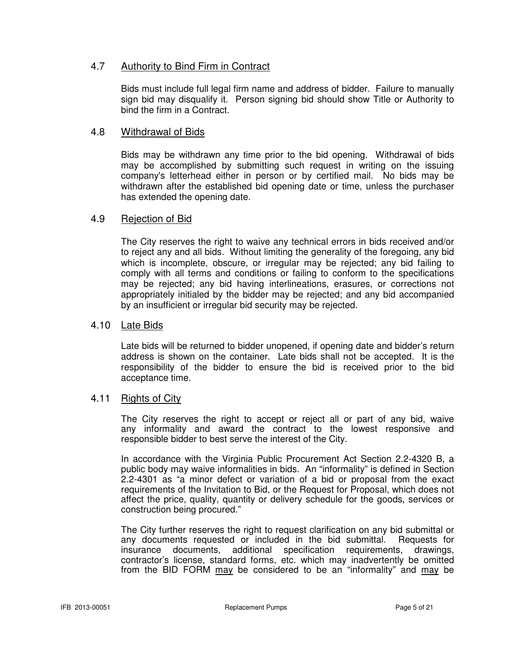# 4.7 Authority to Bind Firm in Contract

Bids must include full legal firm name and address of bidder. Failure to manually sign bid may disqualify it. Person signing bid should show Title or Authority to bind the firm in a Contract.

### 4.8 Withdrawal of Bids

Bids may be withdrawn any time prior to the bid opening. Withdrawal of bids may be accomplished by submitting such request in writing on the issuing company's letterhead either in person or by certified mail. No bids may be withdrawn after the established bid opening date or time, unless the purchaser has extended the opening date.

#### 4.9 Rejection of Bid

The City reserves the right to waive any technical errors in bids received and/or to reject any and all bids. Without limiting the generality of the foregoing, any bid which is incomplete, obscure, or irregular may be rejected; any bid failing to comply with all terms and conditions or failing to conform to the specifications may be rejected; any bid having interlineations, erasures, or corrections not appropriately initialed by the bidder may be rejected; and any bid accompanied by an insufficient or irregular bid security may be rejected.

#### 4.10 Late Bids

Late bids will be returned to bidder unopened, if opening date and bidder's return address is shown on the container. Late bids shall not be accepted. It is the responsibility of the bidder to ensure the bid is received prior to the bid acceptance time.

#### 4.11 Rights of City

 The City reserves the right to accept or reject all or part of any bid, waive any informality and award the contract to the lowest responsive and responsible bidder to best serve the interest of the City.

 In accordance with the Virginia Public Procurement Act Section 2.2-4320 B, a public body may waive informalities in bids. An "informality" is defined in Section 2.2-4301 as "a minor defect or variation of a bid or proposal from the exact requirements of the Invitation to Bid, or the Request for Proposal, which does not affect the price, quality, quantity or delivery schedule for the goods, services or construction being procured."

 The City further reserves the right to request clarification on any bid submittal or any documents requested or included in the bid submittal. Requests for insurance documents, additional specification requirements, drawings, contractor's license, standard forms, etc. which may inadvertently be omitted from the BID FORM may be considered to be an "informality" and may be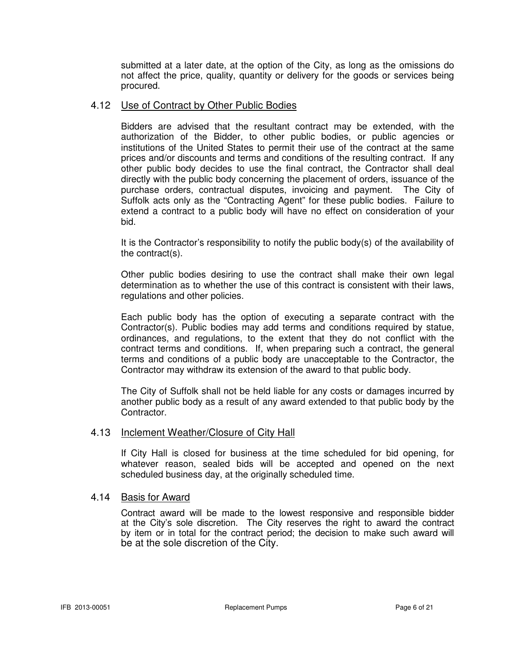submitted at a later date, at the option of the City, as long as the omissions do not affect the price, quality, quantity or delivery for the goods or services being procured.

#### 4.12 Use of Contract by Other Public Bodies

Bidders are advised that the resultant contract may be extended, with the authorization of the Bidder, to other public bodies, or public agencies or institutions of the United States to permit their use of the contract at the same prices and/or discounts and terms and conditions of the resulting contract. If any other public body decides to use the final contract, the Contractor shall deal directly with the public body concerning the placement of orders, issuance of the purchase orders, contractual disputes, invoicing and payment. The City of Suffolk acts only as the "Contracting Agent" for these public bodies. Failure to extend a contract to a public body will have no effect on consideration of your bid.

It is the Contractor's responsibility to notify the public body(s) of the availability of the contract(s).

Other public bodies desiring to use the contract shall make their own legal determination as to whether the use of this contract is consistent with their laws, regulations and other policies.

Each public body has the option of executing a separate contract with the Contractor(s). Public bodies may add terms and conditions required by statue, ordinances, and regulations, to the extent that they do not conflict with the contract terms and conditions. If, when preparing such a contract, the general terms and conditions of a public body are unacceptable to the Contractor, the Contractor may withdraw its extension of the award to that public body.

The City of Suffolk shall not be held liable for any costs or damages incurred by another public body as a result of any award extended to that public body by the Contractor.

#### 4.13 Inclement Weather/Closure of City Hall

If City Hall is closed for business at the time scheduled for bid opening, for whatever reason, sealed bids will be accepted and opened on the next scheduled business day, at the originally scheduled time.

#### 4.14 Basis for Award

 Contract award will be made to the lowest responsive and responsible bidder at the City's sole discretion. The City reserves the right to award the contract by item or in total for the contract period; the decision to make such award will be at the sole discretion of the City.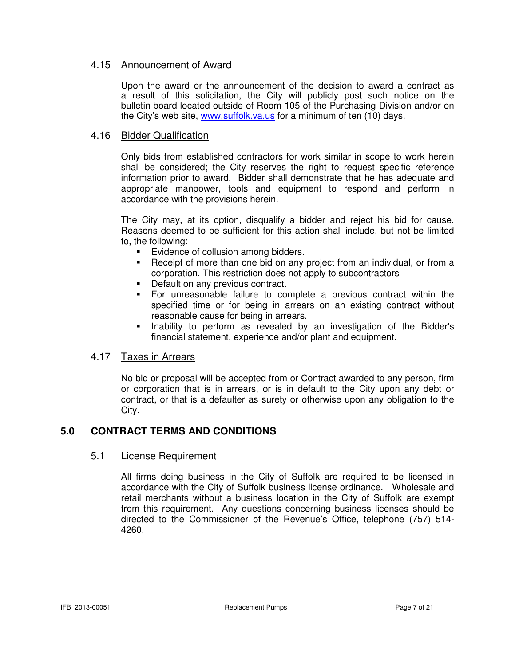# 4.15 Announcement of Award

 Upon the award or the announcement of the decision to award a contract as a result of this solicitation, the City will publicly post such notice on the bulletin board located outside of Room 105 of the Purchasing Division and/or on the City's web site, www.suffolk.va.us for a minimum of ten (10) days.

# 4.16 Bidder Qualification

Only bids from established contractors for work similar in scope to work herein shall be considered; the City reserves the right to request specific reference information prior to award. Bidder shall demonstrate that he has adequate and appropriate manpower, tools and equipment to respond and perform in accordance with the provisions herein.

The City may, at its option, disqualify a bidder and reject his bid for cause. Reasons deemed to be sufficient for this action shall include, but not be limited to, the following:

- Evidence of collusion among bidders.
- **-** Receipt of more than one bid on any project from an individual, or from a corporation. This restriction does not apply to subcontractors
- Default on any previous contract.
- For unreasonable failure to complete a previous contract within the specified time or for being in arrears on an existing contract without reasonable cause for being in arrears.
- Inability to perform as revealed by an investigation of the Bidder's financial statement, experience and/or plant and equipment.

#### 4.17 Taxes in Arrears

No bid or proposal will be accepted from or Contract awarded to any person, firm or corporation that is in arrears, or is in default to the City upon any debt or contract, or that is a defaulter as surety or otherwise upon any obligation to the City.

# **5.0 CONTRACT TERMS AND CONDITIONS**

#### 5.1 License Requirement

All firms doing business in the City of Suffolk are required to be licensed in accordance with the City of Suffolk business license ordinance. Wholesale and retail merchants without a business location in the City of Suffolk are exempt from this requirement. Any questions concerning business licenses should be directed to the Commissioner of the Revenue's Office, telephone (757) 514- 4260.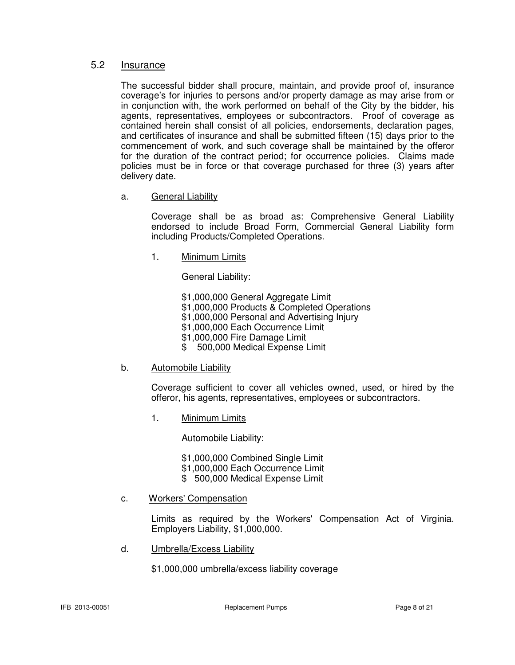#### 5.2 Insurance

 The successful bidder shall procure, maintain, and provide proof of, insurance coverage's for injuries to persons and/or property damage as may arise from or in conjunction with, the work performed on behalf of the City by the bidder, his agents, representatives, employees or subcontractors. Proof of coverage as contained herein shall consist of all policies, endorsements, declaration pages, and certificates of insurance and shall be submitted fifteen (15) days prior to the commencement of work, and such coverage shall be maintained by the offeror for the duration of the contract period; for occurrence policies. Claims made policies must be in force or that coverage purchased for three (3) years after delivery date.

a. General Liability

 Coverage shall be as broad as: Comprehensive General Liability endorsed to include Broad Form, Commercial General Liability form including Products/Completed Operations.

1. Minimum Limits

General Liability:

\$1,000,000 General Aggregate Limit

\$1,000,000 Products & Completed Operations

- \$1,000,000 Personal and Advertising Injury
- \$1,000,000 Each Occurrence Limit
- \$1,000,000 Fire Damage Limit
- \$ 500,000 Medical Expense Limit
- b. Automobile Liability

 Coverage sufficient to cover all vehicles owned, used, or hired by the offeror, his agents, representatives, employees or subcontractors.

1. Minimum Limits

Automobile Liability:

\$1,000,000 Combined Single Limit

- \$1,000,000 Each Occurrence Limit
- \$ 500,000 Medical Expense Limit
- c. Workers' Compensation

 Limits as required by the Workers' Compensation Act of Virginia. Employers Liability, \$1,000,000.

d. Umbrella/Excess Liability

\$1,000,000 umbrella/excess liability coverage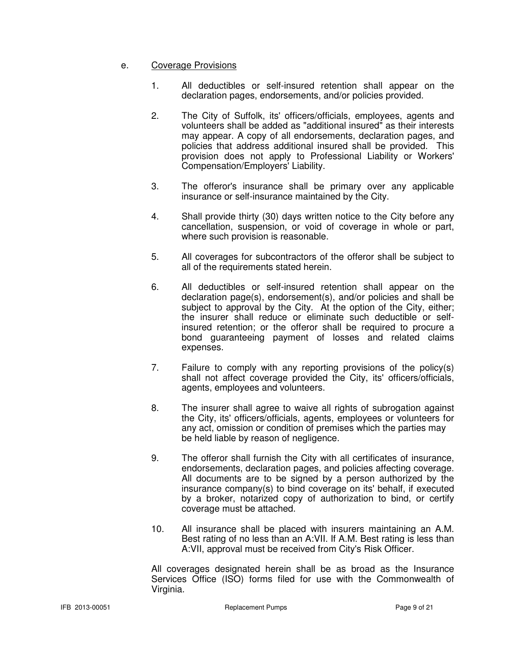#### e. Coverage Provisions

- 1. All deductibles or self-insured retention shall appear on the declaration pages, endorsements, and/or policies provided.
- 2. The City of Suffolk, its' officers/officials, employees, agents and volunteers shall be added as "additional insured" as their interests may appear. A copy of all endorsements, declaration pages, and policies that address additional insured shall be provided. This provision does not apply to Professional Liability or Workers' Compensation/Employers' Liability.
- 3. The offeror's insurance shall be primary over any applicable insurance or self-insurance maintained by the City.
- 4. Shall provide thirty (30) days written notice to the City before any cancellation, suspension, or void of coverage in whole or part, where such provision is reasonable.
- 5. All coverages for subcontractors of the offeror shall be subject to all of the requirements stated herein.
- 6. All deductibles or self-insured retention shall appear on the declaration page(s), endorsement(s), and/or policies and shall be subject to approval by the City. At the option of the City, either; the insurer shall reduce or eliminate such deductible or self insured retention; or the offeror shall be required to procure a bond guaranteeing payment of losses and related claims expenses.
- 7. Failure to comply with any reporting provisions of the policy(s) shall not affect coverage provided the City, its' officers/officials, agents, employees and volunteers.
- 8. The insurer shall agree to waive all rights of subrogation against the City, its' officers/officials, agents, employees or volunteers for any act, omission or condition of premises which the parties may be held liable by reason of negligence.
- 9. The offeror shall furnish the City with all certificates of insurance, endorsements, declaration pages, and policies affecting coverage. All documents are to be signed by a person authorized by the insurance company(s) to bind coverage on its' behalf, if executed by a broker, notarized copy of authorization to bind, or certify coverage must be attached.
- 10. All insurance shall be placed with insurers maintaining an A.M. Best rating of no less than an A:VII. If A.M. Best rating is less than A:VII, approval must be received from City's Risk Officer.

 All coverages designated herein shall be as broad as the Insurance Services Office (ISO) forms filed for use with the Commonwealth of Virginia.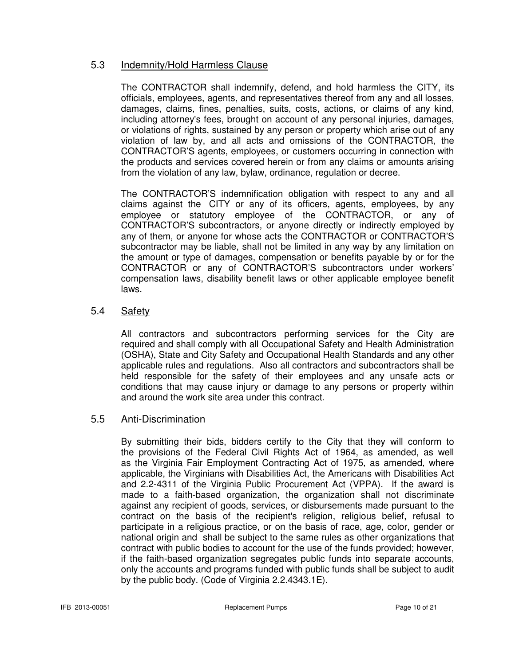# 5.3 Indemnity/Hold Harmless Clause

The CONTRACTOR shall indemnify, defend, and hold harmless the CITY, its officials, employees, agents, and representatives thereof from any and all losses, damages, claims, fines, penalties, suits, costs, actions, or claims of any kind, including attorney's fees, brought on account of any personal injuries, damages, or violations of rights, sustained by any person or property which arise out of any violation of law by, and all acts and omissions of the CONTRACTOR, the CONTRACTOR'S agents, employees, or customers occurring in connection with the products and services covered herein or from any claims or amounts arising from the violation of any law, bylaw, ordinance, regulation or decree.

The CONTRACTOR'S indemnification obligation with respect to any and all claims against the CITY or any of its officers, agents, employees, by any employee or statutory employee of the CONTRACTOR, or any of CONTRACTOR'S subcontractors, or anyone directly or indirectly employed by any of them, or anyone for whose acts the CONTRACTOR or CONTRACTOR'S subcontractor may be liable, shall not be limited in any way by any limitation on the amount or type of damages, compensation or benefits payable by or for the CONTRACTOR or any of CONTRACTOR'S subcontractors under workers' compensation laws, disability benefit laws or other applicable employee benefit laws.

# 5.4 Safety

 All contractors and subcontractors performing services for the City are required and shall comply with all Occupational Safety and Health Administration (OSHA), State and City Safety and Occupational Health Standards and any other applicable rules and regulations. Also all contractors and subcontractors shall be held responsible for the safety of their employees and any unsafe acts or conditions that may cause injury or damage to any persons or property within and around the work site area under this contract.

# 5.5 Anti-Discrimination

 By submitting their bids, bidders certify to the City that they will conform to the provisions of the Federal Civil Rights Act of 1964, as amended, as well as the Virginia Fair Employment Contracting Act of 1975, as amended, where applicable, the Virginians with Disabilities Act, the Americans with Disabilities Act and 2.2-4311 of the Virginia Public Procurement Act (VPPA). If the award is made to a faith-based organization, the organization shall not discriminate against any recipient of goods, services, or disbursements made pursuant to the contract on the basis of the recipient's religion, religious belief, refusal to participate in a religious practice, or on the basis of race, age, color, gender or national origin and shall be subject to the same rules as other organizations that contract with public bodies to account for the use of the funds provided; however, if the faith-based organization segregates public funds into separate accounts, only the accounts and programs funded with public funds shall be subject to audit by the public body. (Code of Virginia 2.2.4343.1E).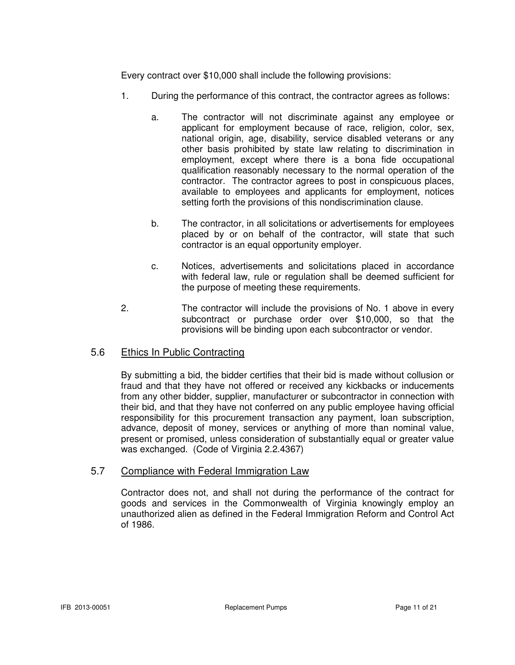Every contract over \$10,000 shall include the following provisions:

- 1. During the performance of this contract, the contractor agrees as follows:
	- a. The contractor will not discriminate against any employee or applicant for employment because of race, religion, color, sex, national origin, age, disability, service disabled veterans or any other basis prohibited by state law relating to discrimination in employment, except where there is a bona fide occupational qualification reasonably necessary to the normal operation of the contractor. The contractor agrees to post in conspicuous places, available to employees and applicants for employment, notices setting forth the provisions of this nondiscrimination clause.
	- b. The contractor, in all solicitations or advertisements for employees placed by or on behalf of the contractor, will state that such contractor is an equal opportunity employer.
	- c. Notices, advertisements and solicitations placed in accordance with federal law, rule or regulation shall be deemed sufficient for the purpose of meeting these requirements.
- 2. The contractor will include the provisions of No. 1 above in every subcontract or purchase order over \$10,000, so that the provisions will be binding upon each subcontractor or vendor.

# 5.6 Ethics In Public Contracting

By submitting a bid, the bidder certifies that their bid is made without collusion or fraud and that they have not offered or received any kickbacks or inducements from any other bidder, supplier, manufacturer or subcontractor in connection with their bid, and that they have not conferred on any public employee having official responsibility for this procurement transaction any payment, loan subscription, advance, deposit of money, services or anything of more than nominal value, present or promised, unless consideration of substantially equal or greater value was exchanged. (Code of Virginia 2.2.4367)

#### 5.7 Compliance with Federal Immigration Law

Contractor does not, and shall not during the performance of the contract for goods and services in the Commonwealth of Virginia knowingly employ an unauthorized alien as defined in the Federal Immigration Reform and Control Act of 1986.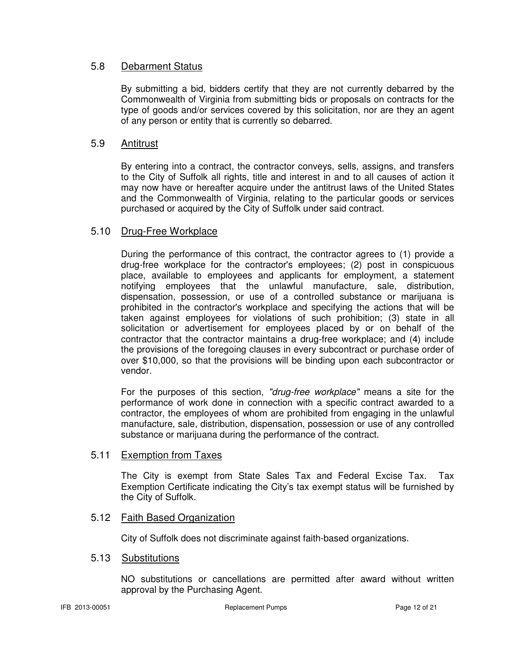## 5.8 Debarment Status

By submitting a bid, bidders certify that they are not currently debarred by the Commonwealth of Virginia from submitting bids or proposals on contracts for the type of goods and/or services covered by this solicitation, nor are they an agent of any person or entity that is currently so debarred.

# 5.9 Antitrust

By entering into a contract, the contractor conveys, sells, assigns, and transfers to the City of Suffolk all rights, title and interest in and to all causes of action it may now have or hereafter acquire under the antitrust laws of the United States and the Commonwealth of Virginia, relating to the particular goods or services purchased or acquired by the City of Suffolk under said contract.

# 5.10 Drug-Free Workplace

During the performance of this contract, the contractor agrees to (1) provide a drug-free workplace for the contractor's employees; (2) post in conspicuous place, available to employees and applicants for employment, a statement notifying employees that the unlawful manufacture, sale, distribution, dispensation, possession, or use of a controlled substance or marijuana is prohibited in the contractor's workplace and specifying the actions that will be taken against employees for violations of such prohibition; (3) state in all solicitation or advertisement for employees placed by or on behalf of the contractor that the contractor maintains a drug-free workplace; and (4) include the provisions of the foregoing clauses in every subcontract or purchase order of over \$10,000, so that the provisions will be binding upon each subcontractor or vendor.

For the purposes of this section, "drug-free workplace" means a site for the performance of work done in connection with a specific contract awarded to a contractor, the employees of whom are prohibited from engaging in the unlawful manufacture, sale, distribution, dispensation, possession or use of any controlled substance or marijuana during the performance of the contract.

#### 5.11 Exemption from Taxes

The City is exempt from State Sales Tax and Federal Excise Tax. Tax Exemption Certificate indicating the City's tax exempt status will be furnished by the City of Suffolk.

#### 5.12 Faith Based Organization

City of Suffolk does not discriminate against faith-based organizations.

#### 5.13 Substitutions

NO substitutions or cancellations are permitted after award without written approval by the Purchasing Agent.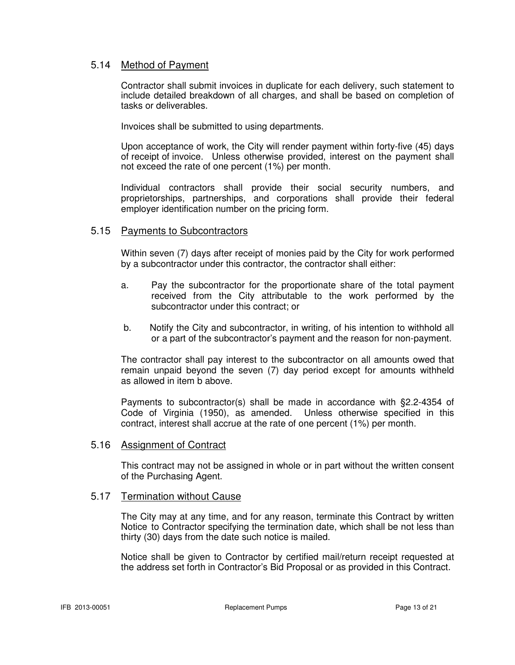#### 5.14 Method of Payment

 Contractor shall submit invoices in duplicate for each delivery, such statement to include detailed breakdown of all charges, and shall be based on completion of tasks or deliverables.

Invoices shall be submitted to using departments.

 Upon acceptance of work, the City will render payment within forty-five (45) days of receipt of invoice. Unless otherwise provided, interest on the payment shall not exceed the rate of one percent (1%) per month.

Individual contractors shall provide their social security numbers, and proprietorships, partnerships, and corporations shall provide their federal employer identification number on the pricing form.

#### 5.15 Payments to Subcontractors

Within seven (7) days after receipt of monies paid by the City for work performed by a subcontractor under this contractor, the contractor shall either:

- a. Pay the subcontractor for the proportionate share of the total payment received from the City attributable to the work performed by the subcontractor under this contract; or
- b. Notify the City and subcontractor, in writing, of his intention to withhold all or a part of the subcontractor's payment and the reason for non-payment.

The contractor shall pay interest to the subcontractor on all amounts owed that remain unpaid beyond the seven (7) day period except for amounts withheld as allowed in item b above.

Payments to subcontractor(s) shall be made in accordance with §2.2-4354 of Code of Virginia (1950), as amended. Unless otherwise specified in this contract, interest shall accrue at the rate of one percent (1%) per month.

#### 5.16 Assignment of Contract

This contract may not be assigned in whole or in part without the written consent of the Purchasing Agent.

#### 5.17 Termination without Cause

 The City may at any time, and for any reason, terminate this Contract by written Notice to Contractor specifying the termination date, which shall be not less than thirty (30) days from the date such notice is mailed.

 Notice shall be given to Contractor by certified mail/return receipt requested at the address set forth in Contractor's Bid Proposal or as provided in this Contract.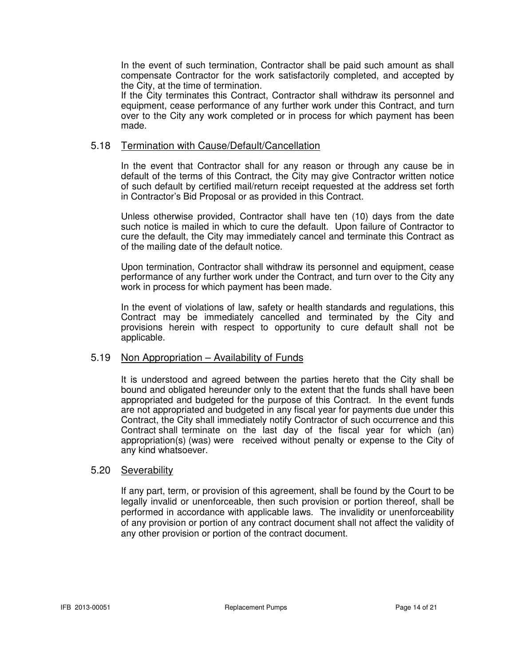In the event of such termination, Contractor shall be paid such amount as shall compensate Contractor for the work satisfactorily completed, and accepted by the City, at the time of termination.

 If the City terminates this Contract, Contractor shall withdraw its personnel and equipment, cease performance of any further work under this Contract, and turn over to the City any work completed or in process for which payment has been made.

#### 5.18 Termination with Cause/Default/Cancellation

 In the event that Contractor shall for any reason or through any cause be in default of the terms of this Contract, the City may give Contractor written notice of such default by certified mail/return receipt requested at the address set forth in Contractor's Bid Proposal or as provided in this Contract.

 Unless otherwise provided, Contractor shall have ten (10) days from the date such notice is mailed in which to cure the default. Upon failure of Contractor to cure the default, the City may immediately cancel and terminate this Contract as of the mailing date of the default notice.

 Upon termination, Contractor shall withdraw its personnel and equipment, cease performance of any further work under the Contract, and turn over to the City any work in process for which payment has been made.

 In the event of violations of law, safety or health standards and regulations, this Contract may be immediately cancelled and terminated by the City and provisions herein with respect to opportunity to cure default shall not be applicable.

#### 5.19 Non Appropriation – Availability of Funds

 It is understood and agreed between the parties hereto that the City shall be bound and obligated hereunder only to the extent that the funds shall have been appropriated and budgeted for the purpose of this Contract. In the event funds are not appropriated and budgeted in any fiscal year for payments due under this Contract, the City shall immediately notify Contractor of such occurrence and this Contract shall terminate on the last day of the fiscal year for which (an) appropriation(s) (was) were received without penalty or expense to the City of any kind whatsoever.

#### 5.20 Severability

If any part, term, or provision of this agreement, shall be found by the Court to be legally invalid or unenforceable, then such provision or portion thereof, shall be performed in accordance with applicable laws. The invalidity or unenforceability of any provision or portion of any contract document shall not affect the validity of any other provision or portion of the contract document.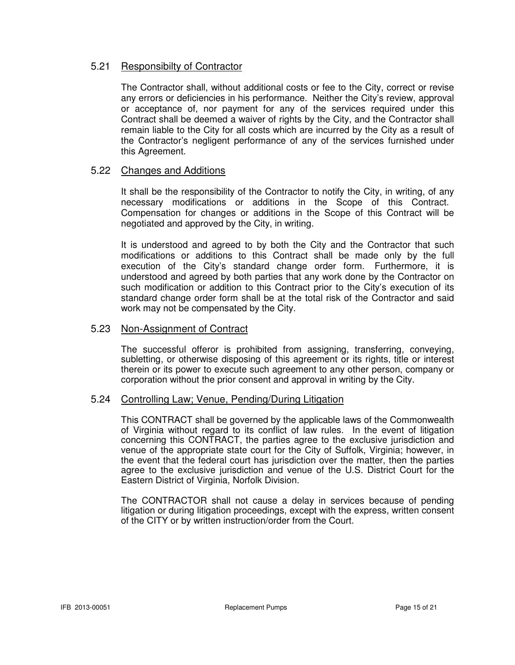# 5.21 Responsibilty of Contractor

The Contractor shall, without additional costs or fee to the City, correct or revise any errors or deficiencies in his performance. Neither the City's review, approval or acceptance of, nor payment for any of the services required under this Contract shall be deemed a waiver of rights by the City, and the Contractor shall remain liable to the City for all costs which are incurred by the City as a result of the Contractor's negligent performance of any of the services furnished under this Agreement.

#### 5.22 Changes and Additions

It shall be the responsibility of the Contractor to notify the City, in writing, of any necessary modifications or additions in the Scope of this Contract. Compensation for changes or additions in the Scope of this Contract will be negotiated and approved by the City, in writing.

It is understood and agreed to by both the City and the Contractor that such modifications or additions to this Contract shall be made only by the full execution of the City's standard change order form. Furthermore, it is understood and agreed by both parties that any work done by the Contractor on such modification or addition to this Contract prior to the City's execution of its standard change order form shall be at the total risk of the Contractor and said work may not be compensated by the City.

#### 5.23 Non-Assignment of Contract

 The successful offeror is prohibited from assigning, transferring, conveying, subletting, or otherwise disposing of this agreement or its rights, title or interest therein or its power to execute such agreement to any other person, company or corporation without the prior consent and approval in writing by the City.

#### 5.24 Controlling Law; Venue, Pending/During Litigation

 This CONTRACT shall be governed by the applicable laws of the Commonwealth of Virginia without regard to its conflict of law rules. In the event of litigation concerning this CONTRACT, the parties agree to the exclusive jurisdiction and venue of the appropriate state court for the City of Suffolk, Virginia; however, in the event that the federal court has jurisdiction over the matter, then the parties agree to the exclusive jurisdiction and venue of the U.S. District Court for the Eastern District of Virginia, Norfolk Division.

 The CONTRACTOR shall not cause a delay in services because of pending litigation or during litigation proceedings, except with the express, written consent of the CITY or by written instruction/order from the Court.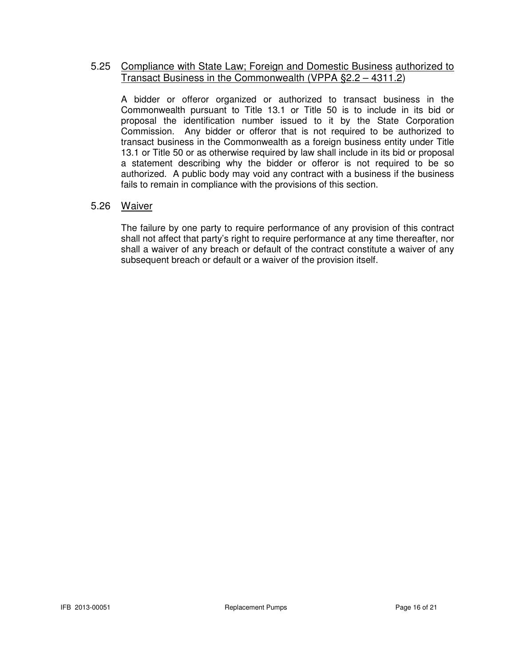### 5.25 Compliance with State Law; Foreign and Domestic Business authorized to Transact Business in the Commonwealth (VPPA §2.2 – 4311.2)

 A bidder or offeror organized or authorized to transact business in the Commonwealth pursuant to Title 13.1 or Title 50 is to include in its bid or proposal the identification number issued to it by the State Corporation Commission. Any bidder or offeror that is not required to be authorized to transact business in the Commonwealth as a foreign business entity under Title 13.1 or Title 50 or as otherwise required by law shall include in its bid or proposal a statement describing why the bidder or offeror is not required to be so authorized. A public body may void any contract with a business if the business fails to remain in compliance with the provisions of this section.

# 5.26 Waiver

 The failure by one party to require performance of any provision of this contract shall not affect that party's right to require performance at any time thereafter, nor shall a waiver of any breach or default of the contract constitute a waiver of any subsequent breach or default or a waiver of the provision itself.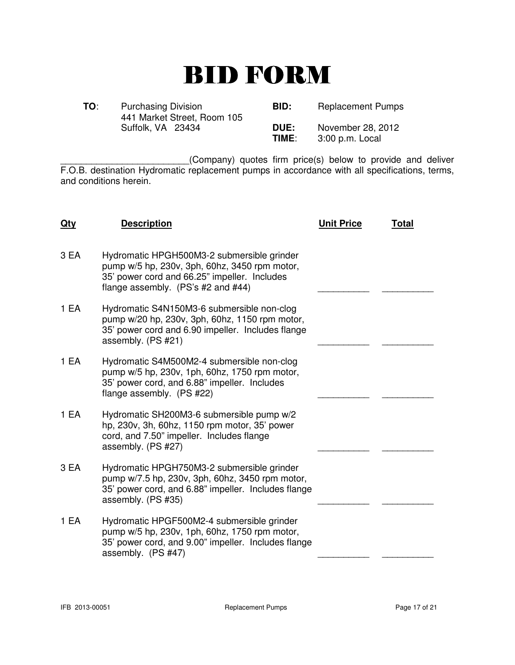# BID FORM

| TO: | <b>Purchasing Division</b><br>441 Market Street, Room 105 | BID:          | <b>Replacement Pumps</b>             |
|-----|-----------------------------------------------------------|---------------|--------------------------------------|
|     | Suffolk, VA 23434                                         | DUE:<br>TIME: | November 28, 2012<br>3:00 p.m. Local |

\_\_\_\_\_\_\_\_\_\_\_\_\_\_\_\_\_\_\_\_\_\_\_\_\_(Company) quotes firm price(s) below to provide and deliver F.O.B. destination Hydromatic replacement pumps in accordance with all specifications, terms, and conditions herein.

| <u>Qty</u> | <b>Description</b>                                                                                                                                                                  | <b>Unit Price</b> | <u>Total</u> |
|------------|-------------------------------------------------------------------------------------------------------------------------------------------------------------------------------------|-------------------|--------------|
| 3 EA       | Hydromatic HPGH500M3-2 submersible grinder<br>pump w/5 hp, 230v, 3ph, 60hz, 3450 rpm motor,<br>35' power cord and 66.25" impeller. Includes<br>flange assembly. $(PS's #2 and #44)$ |                   |              |
| 1 EA       | Hydromatic S4N150M3-6 submersible non-clog<br>pump w/20 hp, 230v, 3ph, 60hz, 1150 rpm motor,<br>35' power cord and 6.90 impeller. Includes flange<br>assembly. (PS #21)             |                   |              |
| 1 EA       | Hydromatic S4M500M2-4 submersible non-clog<br>pump w/5 hp, 230v, 1ph, 60hz, 1750 rpm motor,<br>35' power cord, and 6.88" impeller. Includes<br>flange assembly. (PS #22)            |                   |              |
| 1 EA       | Hydromatic SH200M3-6 submersible pump w/2<br>hp, 230v, 3h, 60hz, 1150 rpm motor, 35' power<br>cord, and 7.50" impeller. Includes flange<br>assembly. (PS #27)                       |                   |              |
| 3 EA       | Hydromatic HPGH750M3-2 submersible grinder<br>pump w/7.5 hp, 230v, 3ph, 60hz, 3450 rpm motor,<br>35' power cord, and 6.88" impeller. Includes flange<br>assembly. (PS #35)          |                   |              |
| 1 EA       | Hydromatic HPGF500M2-4 submersible grinder<br>pump w/5 hp, 230v, 1ph, 60hz, 1750 rpm motor,<br>35' power cord, and 9.00" impeller. Includes flange<br>assembly. (PS #47)            |                   |              |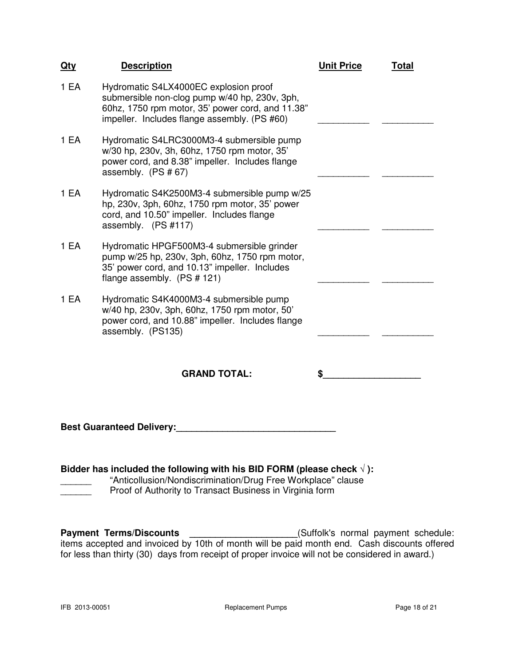| <u>Qty</u>                                                                                                                                      | <b>Description</b>                                                                                                                                                                         | <b>Unit Price</b> | <b>Total</b> |
|-------------------------------------------------------------------------------------------------------------------------------------------------|--------------------------------------------------------------------------------------------------------------------------------------------------------------------------------------------|-------------------|--------------|
| 1 EA                                                                                                                                            | Hydromatic S4LX4000EC explosion proof<br>submersible non-clog pump w/40 hp, 230v, 3ph,<br>60hz, 1750 rpm motor, 35' power cord, and 11.38"<br>impeller. Includes flange assembly. (PS #60) |                   |              |
| 1 EA                                                                                                                                            | Hydromatic S4LRC3000M3-4 submersible pump<br>w/30 hp, 230v, 3h, 60hz, 1750 rpm motor, 35'<br>power cord, and 8.38" impeller. Includes flange<br>assembly. $(PS # 67)$                      |                   |              |
| 1 EA                                                                                                                                            | Hydromatic S4K2500M3-4 submersible pump w/25<br>hp, 230v, 3ph, 60hz, 1750 rpm motor, 35' power<br>cord, and 10.50" impeller. Includes flange<br>assembly. (PS #117)                        |                   |              |
| 1 EA                                                                                                                                            | Hydromatic HPGF500M3-4 submersible grinder<br>pump w/25 hp, 230v, 3ph, 60hz, 1750 rpm motor,<br>35' power cord, and 10.13" impeller. Includes<br>flange assembly. (PS # 121)               |                   |              |
| 1 EA                                                                                                                                            | Hydromatic S4K4000M3-4 submersible pump<br>w/40 hp, 230v, 3ph, 60hz, 1750 rpm motor, 50'<br>power cord, and 10.88" impeller. Includes flange<br>assembly. (PS135)                          |                   |              |
|                                                                                                                                                 | <b>GRAND TOTAL:</b>                                                                                                                                                                        | \$                |              |
| <b>Best Guaranteed Delivery:</b>                                                                                                                |                                                                                                                                                                                            |                   |              |
| Bidder has included the following with his BID FORM (please check $\sqrt{ }$ ):<br>"Apticollusion/Nondiserimination/Drug Ereo Werkplace" olause |                                                                                                                                                                                            |                   |              |

\_\_\_\_\_\_ "Anticollusion/Nondiscrimination/Drug Free Workplace" clause<br>Proof of Authority to Transact Business in Virginia form Proof of Authority to Transact Business in Virginia form

**Payment Terms/Discounts \_\_\_\_\_\_\_\_\_\_\_\_\_\_\_\_\_\_\_\_\_\_\_**(Suffolk's normal payment schedule: items accepted and invoiced by 10th of month will be paid month end. Cash discounts offered for less than thirty (30) days from receipt of proper invoice will not be considered in award.)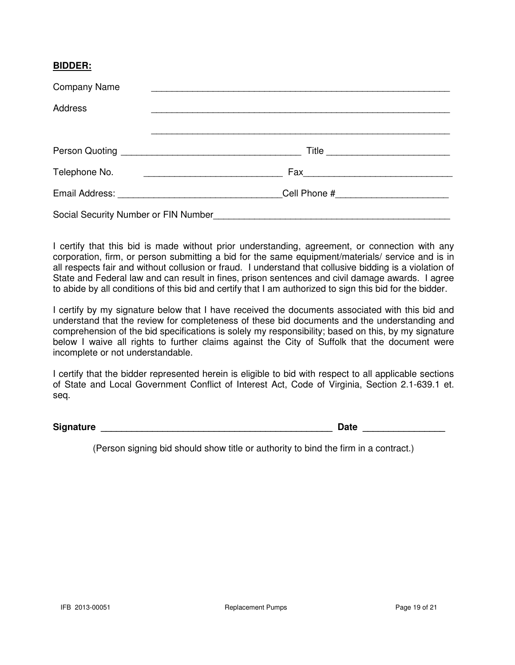### **BIDDER:**

| <b>Company Name</b>                  |  |
|--------------------------------------|--|
| <b>Address</b>                       |  |
|                                      |  |
|                                      |  |
| Telephone No.                        |  |
|                                      |  |
| Social Security Number or FIN Number |  |

I certify that this bid is made without prior understanding, agreement, or connection with any corporation, firm, or person submitting a bid for the same equipment/materials/ service and is in all respects fair and without collusion or fraud. I understand that collusive bidding is a violation of State and Federal law and can result in fines, prison sentences and civil damage awards. I agree to abide by all conditions of this bid and certify that I am authorized to sign this bid for the bidder.

I certify by my signature below that I have received the documents associated with this bid and understand that the review for completeness of these bid documents and the understanding and comprehension of the bid specifications is solely my responsibility; based on this, by my signature below I waive all rights to further claims against the City of Suffolk that the document were incomplete or not understandable.

I certify that the bidder represented herein is eligible to bid with respect to all applicable sections of State and Local Government Conflict of Interest Act, Code of Virginia, Section 2.1-639.1 et. seq.

**Signature \_\_\_\_\_\_\_\_\_\_\_\_\_\_\_\_\_\_\_\_\_\_\_\_\_\_\_\_\_\_\_\_\_\_\_\_\_\_\_\_\_\_\_\_\_ Date \_\_\_\_\_\_\_\_\_\_\_\_\_\_\_\_**

(Person signing bid should show title or authority to bind the firm in a contract.)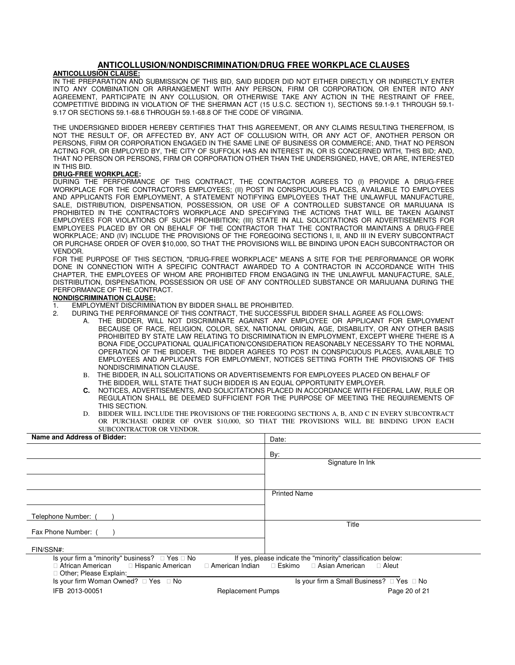#### **ANTICOLLUSION/NONDISCRIMINATION/DRUG FREE WORKPLACE CLAUSES**

#### **ANTICOLLUSION CLAUSE:**

IN THE PREPARATION AND SUBMISSION OF THIS BID, SAID BIDDER DID NOT EITHER DIRECTLY OR INDIRECTLY ENTER INTO ANY COMBINATION OR ARRANGEMENT WITH ANY PERSON, FIRM OR CORPORATION, OR ENTER INTO ANY AGREEMENT, PARTICIPATE IN ANY COLLUSION, OR OTHERWISE TAKE ANY ACTION IN THE RESTRAINT OF FREE, COMPETITIVE BIDDING IN VIOLATION OF THE SHERMAN ACT (15 U.S.C. SECTION 1), SECTIONS 59.1-9.1 THROUGH 59.1- 9.17 OR SECTIONS 59.1-68.6 THROUGH 59.1-68.8 OF THE CODE OF VIRGINIA.

THE UNDERSIGNED BIDDER HEREBY CERTIFIES THAT THIS AGREEMENT, OR ANY CLAIMS RESULTING THEREFROM, IS NOT THE RESULT OF, OR AFFECTED BY, ANY ACT OF COLLUSION WITH, OR ANY ACT OF, ANOTHER PERSON OR PERSONS, FIRM OR CORPORATION ENGAGED IN THE SAME LINE OF BUSINESS OR COMMERCE; AND, THAT NO PERSON ACTING FOR, OR EMPLOYED BY, THE CITY OF SUFFOLK HAS AN INTEREST IN, OR IS CONCERNED WITH, THIS BID; AND, THAT NO PERSON OR PERSONS, FIRM OR CORPORATION OTHER THAN THE UNDERSIGNED, HAVE, OR ARE, INTERESTED IN THIS BID.

#### **DRUG-FREE WORKPLACE:**

DURING THE PERFORMANCE OF THIS CONTRACT, THE CONTRACTOR AGREES TO (I) PROVIDE A DRUG-FREE WORKPLACE FOR THE CONTRACTOR'S EMPLOYEES; (II) POST IN CONSPICUOUS PLACES, AVAILABLE TO EMPLOYEES AND APPLICANTS FOR EMPLOYMENT, A STATEMENT NOTIFYING EMPLOYEES THAT THE UNLAWFUL MANUFACTURE, SALE, DISTRIBUTION, DISPENSATION, POSSESSION, OR USE OF A CONTROLLED SUBSTANCE OR MARIJUANA IS PROHIBITED IN THE CONTRACTOR'S WORKPLACE AND SPECIFYING THE ACTIONS THAT WILL BE TAKEN AGAINST EMPLOYEES FOR VIOLATIONS OF SUCH PROHIBITION; (III) STATE IN ALL SOLICITATIONS OR ADVERTISEMENTS FOR EMPLOYEES PLACED BY OR ON BEHALF OF THE CONTRACTOR THAT THE CONTRACTOR MAINTAINS A DRUG-FREE WORKPLACE; AND (IV) INCLUDE THE PROVISIONS OF THE FOREGOING SECTIONS I, II, AND III IN EVERY SUBCONTRACT OR PURCHASE ORDER OF OVER \$10,000, SO THAT THE PROVISIONS WILL BE BINDING UPON EACH SUBCONTRACTOR OR VENDOR.

FOR THE PURPOSE OF THIS SECTION, "DRUG-FREE WORKPLACE" MEANS A SITE FOR THE PERFORMANCE OR WORK DONE IN CONNECTION WITH A SPECIFIC CONTRACT AWARDED TO A CONTRACTOR IN ACCORDANCE WITH THIS CHAPTER, THE EMPLOYEES OF WHOM ARE PROHIBITED FROM ENGAGING IN THE UNLAWFUL MANUFACTURE, SALE, DISTRIBUTION, DISPENSATION, POSSESSION OR USE OF ANY CONTROLLED SUBSTANCE OR MARIJUANA DURING THE PERFORMANCE OF THE CONTRACT.

#### **NONDISCRIMINATION CLAUSE:**

- 1. EMPLOYMENT DISCRIMINATION BY BIDDER SHALL BE PROHIBITED.<br>2. DURING THE PERFORMANCE OF THIS CONTRACT. THE SUCCESSFU
	- 2. DURING THE PERFORMANCE OF THIS CONTRACT, THE SUCCESSFUL BIDDER SHALL AGREE AS FOLLOWS:
		- A. THE BIDDER, WILL NOT DISCRIMINATE AGAINST ANY EMPLOYEE OR APPLICANT FOR EMPLOYMENT BECAUSE OF RACE, RELIGION, COLOR, SEX, NATIONAL ORIGIN, AGE, DISABILITY, OR ANY OTHER BASIS PROHIBITED BY STATE LAW RELATING TO DISCRIMINATION IN EMPLOYMENT, EXCEPT WHERE THERE IS A BONA FIDE OCCUPATIONAL QUALIFICATION/CONSIDERATION REASONABLY NECESSARY TO THE NORMAL OPERATION OF THE BIDDER. THE BIDDER AGREES TO POST IN CONSPICUOUS PLACES, AVAILABLE TO EMPLOYEES AND APPLICANTS FOR EMPLOYMENT, NOTICES SETTING FORTH THE PROVISIONS OF THIS NONDISCRIMINATION CLAUSE.
		- B. THE BIDDER, IN ALL SOLICITATIONS OR ADVERTISEMENTS FOR EMPLOYEES PLACED ON BEHALF OF THE BIDDER, WILL STATE THAT SUCH BIDDER IS AN EQUAL OPPORTUNITY EMPLOYER.
		- **C.** NOTICES, ADVERTISEMENTS, AND SOLICITATIONS PLACED IN ACCORDANCE WITH FEDERAL LAW, RULE OR REGULATION SHALL BE DEEMED SUFFICIENT FOR THE PURPOSE OF MEETING THE REQUIREMENTS OF THIS SECTION.
		- D. BIDDER WILL INCLUDE THE PROVISIONS OF THE FOREGOING SECTIONS A, B, AND C IN EVERY SUBCONTRACT OR PURCHASE ORDER OF OVER \$10,000, SO THAT THE PROVISIONS WILL BE BINDING UPON EACH SUBCONTRACTOR OR VENDOR.

| Name and Address of Bidder:                                                                                                            | Date:                                                                                             |
|----------------------------------------------------------------------------------------------------------------------------------------|---------------------------------------------------------------------------------------------------|
|                                                                                                                                        | By:                                                                                               |
|                                                                                                                                        | Signature In Ink                                                                                  |
|                                                                                                                                        |                                                                                                   |
|                                                                                                                                        | <b>Printed Name</b>                                                                               |
| Telephone Number: (                                                                                                                    |                                                                                                   |
| Fax Phone Number: (                                                                                                                    | Title                                                                                             |
| FIN/SSN#:                                                                                                                              |                                                                                                   |
| Is your firm a "minority" business?<br>Yes<br>No<br>African American<br>Hispanic American<br>American Indian<br>Other; Please Explain: | If yes, please indicate the "minority" classification below:<br>Eskimo<br>Asian American<br>Aleut |
| Is your firm Woman Owned?<br>Yes<br>No                                                                                                 | Is your firm a Small Business?<br><b>No</b><br>Yes                                                |
| IFB 2013-00051                                                                                                                         | Page 20 of 21<br><b>Replacement Pumps</b>                                                         |